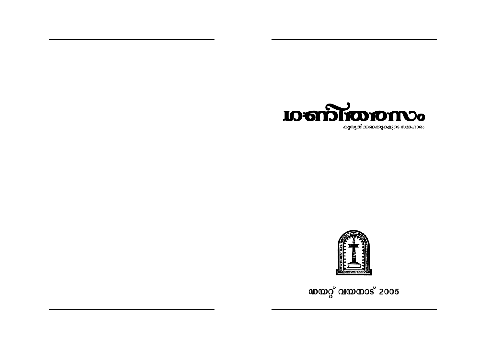



ഡയറ്റ് വയനാട് 2005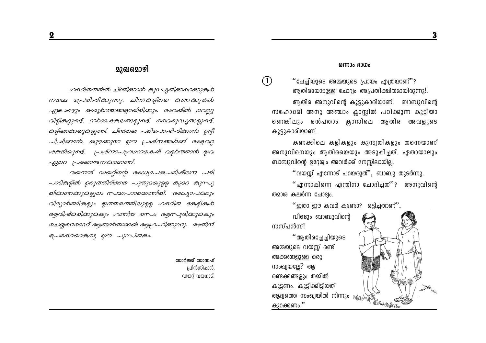## മുഖമൊഴി

ഗണിതത്തിൽ ചിന്തിക്കാൻ കുസ്യതിക്കണക്കുകൾ നമ്മെ പ്രേരിപ്പിക്കുന്നു. ചിന്തകളിലെ കണക്കുകൾ എപോഴും രാമൂർത്തങ്ങളായിരിക്കും. രാവയിൽ വെലു വിളികളുണ്ട്, നർമ്മശകലങ്ങളുണ്ട്, മൊമ്പരുദ്ധ്യങ്ങളുണ്ട്, കളിയാക്കലുകളുണ്ട്. ചിന്തയെ പരിപോഷിപ്പിക്കാൻ, ഉദ്ദീ പിപ്പിക്കാൻ, കുഴക്കുന്ന ഈ പ്രശ്നങ്ങൾക്ക് അളവറ്റ ശക്തിയുണ്ട്. പ്രശ്നാപ്യവാനക്കേഷി വളുകത്താൻ ഇവ  $\beta$ 200 ( $\sim$ 82003002000).

വഖനാട് ഡഖറ്റിന്റെ രംധ്യാപകപരിശീലന പരി  $\sim$ วร์ไลดู์ไดง ออาเวอาไอโดอาอ  $\sim$ างอาเวอาอุดู ลายา ลาก $\sim$ തിക്കണക്കുകളുടെ സമാഹാരമാണിത്. അധ്യാപകരും വിദ്യാർത്മികളും ഇത്തരത്തിലുള്ള ഗണിത ക്കേളികൾ രുവിഷ്കരിക്കുകയും ഗണിത രസം രൂസ്വദിക്കുകയും മചയ്യണമെന്ന് ആത്മാരത്മാമായി ആഗ്രഹിക്കുന്നു. അതിന് கு வலைக்கை குற புருக்கை.

> ജോർജ്ജ് ജോസഫ് പ്രിൻസിപ്പാൾ ഡയറ് വയനാട്.

### ഒന്നാം ഭാഗം

''ചേച്ചിയുടെ അമ്മയുടെ പ്രായം എത്രയാണ്'? ആതിരയോടുള്ള ചോദ്യം അപ്രതീക്ഷിതമായിരുന്നു!.

ആതിര അനുവിന്റെ കൂട്ടുകാരിയാണ്. ബാബുവിന്റെ സഹോദരി അനു അഞ്ചാം ക്ലാസ്സിൽ പഠിക്കുന്ന കുട്ടിയാ ണെങ്കിലും ഒൻപതാം ക്ലാസിലെ ആതിര അവളുടെ കൂട്ടുകാരിയാണ്.

കണക്കിലെ കളികളും കുസ്വതികളും തന്നെയാണ് അനുവിനെയും ആതിരയെയും അടുപ്പിച്ചത്. ഏതായാലും ബാബുവിന്റെ ഉദ്ദേര്വം അവർക്ക് മനസ്സിലായില്ല.

 $"$ വയസ്സ് എന്നോട് പറയരുത് $"$ , ബാബു തുടർന്നു.

''എന്നാപ്പിന്നെ എന്തിനാ ചോദിച്ചത്''? അനുവിന്റെ തമാശ കലർന്ന ചോദ്വം.

 $"$ ഇതാ ഈ കവർ കണ്ടോ? ഒട്ടിച്ചതാണ് $"$ .

വീണ്ടും ബാബുവിന്റെ സസ്പൻസ്!

 $(1)$ 

''ആതിരച്ചേച്ചിയുടെ അമ്മയുടെ വയസ്സ് രണ്ട് അക്കങ്ങളുള്ള ഒരു സംഖ്വയല്ലേ? ആ രണ്ടക്കങ്ങളും തമ്മിൽ കൂട്ടണം. കൂട്ടിക്കിട്ടിയത് കൂട്ടാണം. *---*--<br>ആദ്യത്തെ സംഖ്യയിൽ നിന്നും *എപ്രക്ഷ് കോക്രമു*ക്കുക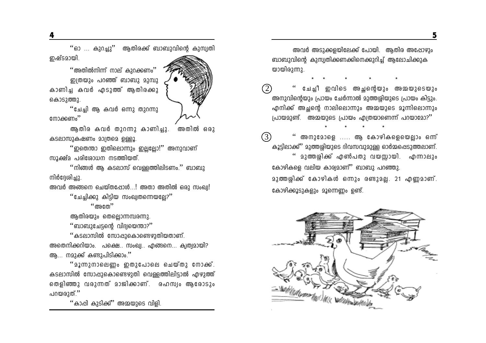"ഓ ... കുറച്ചു'' ആതിരക്ക് ബാബുവിന്റെ കുസ്വതി ഇഷ്ടമായി.

 $\cdot$ "അതിൽനിന്ന് നാല് കുറക്കണം $\cdot$ " ഇത്രയും പറഞ്ഞ് ബാബു മുമ്പു കാണിച്ച കവർ എടുത്ത് ആതിരക്കു കൊടുത്തു.



"ചേച്ചി ആ കവർ ഒന്നു തുറന്നു നോക്കണം''

അതിൽ ഒരാ ആതിര കവർ തുറന്നു കാണിച്ചു. കടലാസുകഷണം മാത്രമെ ഉള്ളൂ.

''ഇതെന്താ ഇതിലൊന്നും ഇല്ലല്ലോ!'' അനുവാണ് സൂക്ഷ്മ പരിശോധന നടത്തിയത്.

''നിങ്ങൾ ആ കടലാസ് വെള്ളത്തിലിടണം.'' ബാബു നിർദേശിച്ചു.

അവർ അങ്ങനെ ചെയ്തപ്പോൾ...! അതാ അതിൽ ഒരു സംഖ്വ! ്ചേച്ചിക്കു കിട്ടിയ സംഖ്യതന്നെയല്ലേ? $"$ 

 $``$ അതേ $"$ 

ആതിരയും തെല്ലൊന്നമ്പരന്നു.

് ബാബുചേട്ടന്റെ വിദ്വയെന്താ? $"$ 

''കടലാസിൽ സോഷുകൊണ്ടെഴുതിയതാണ്. അതെനിക്കറിയാം. പക്ഷെ. സംഖ്വ. എങ്ങനെ... ക്വത്വമായി? ആ... നമുക്ക് കണ്ടുപിടിക്കാം.''

"മൂന്നുനാലെണം ഇതുപോലെ ചെയ്തു നോക്ക്. കടലാസിൽ സോപ്പുകൊണ്ടെഴുതി വെള്ളത്തിലിട്ടാൽ എഴുത്ത് തെളിഞ്ഞു വരുന്നത് മാജിക്കാണ്. രഹസ്വം ആരോടും പറയരുത്.''

''കാപ്പി കുടിക്ക്'' അമ്മയുടെ വിളി.

അവർ അടുക്കളയിലേക്ക് പോയി. ആതിര അപ്പോഴും ബാബുവിന്റെ കുസ്വതിക്കണക്കിനെക്കുറിച്ച് അലോചിക്കുക യായിരുന്നു.

ചേച്ചീ ഇവിടെ അച്ഛനെയും അമ്മയുടെയും (2) അനുവിന്റെയും പ്രായം ചേർന്നാൽ മുത്തശ്ശിയുടെ പ്രായം കിട്ടും. എനിക്ക് അച്ഛന്റെ നാലിലൊന്നും അമ്മയുടെ മൂന്നിലൊന്നും (പായമുണ്ട്. അമ്മയുടെ പ്രായം എത്രയാണെന്ന് പറയാമോ?''

 $(3)$ അനുമോളെ ..... ആ കോഴികളെയെല്ലാം ഒന്ന് കൂട്ടിലാക്ക്" മുത്തശ്ശിയുടെ ദിവസവുമുള്ള ഓർമ്മപ്പെടുത്തലാണ്. '' മുത്തശ്ശിക്ക് എൺപതു വയസ്സായി. എന്നാലും കോഴികളെ വലിയ കാര്വമാണ്'' ബാബു പറഞ്ഞു. മുത്തശിക്ക് കോഴികൾ ഒന്നും രണ്ടുമല. 21 എണ്ണമാണ്. കോഴിക്കൂടുകളും മൂന്നെണ്ണം ഉണ്ട്.

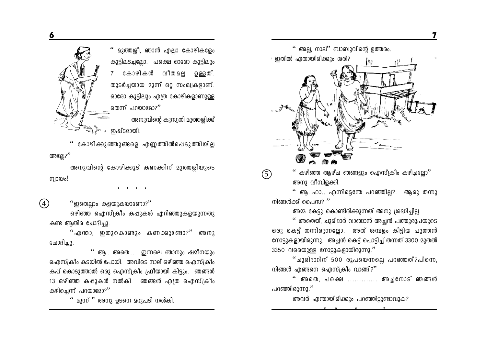മുത്തശ്ശീ, ഞാൻ എല്ലാ കോഴികളേം കൂട്ടിലടച്ചലോ. പക്ഷെ ഓരോ കൂട്ടിലും 7 കോഴികൾ വീതമല ഉള്ളത്. തുടർച്ചയായ മൂന്ന് ഒറ്റ സംഖ്യകളാണ്. ഓരോ കൂടിലും എത്ര കോഴികളാണുള്ള തെന്ന് പറയാമോ?''

അനുവിന്റെ കുസ്വതി മുത്തശ്ശിക്ക് ഇഷ്ടമായി.

കോഴിക്കുഞ്ഞുങ്ങളെ എണ്ണത്തിൽപ്പെടുത്തിയില അല്ലേ? $^{\prime}$ 

അനുവിന്റെ കോഴിക്കൂട് കണക്കിന് മുത്തശ്ശിയുടെ niomo;

 $\left( \widehat{4}\right)$ ''ഇതെല്ലാം കളയുകയാണോ?''

ഒഴിഞ്ഞ ഐസ്ക്രീം കപ്പുകൾ എറിഞ്ഞുകളയുന്നതു കണ്ട ആതിര ചോദിച്ചു.

"എന്താ, ഇതുകൊണ്ടും കണക്കുണ്ടോ?" അനു ചോദിച്ചു.

'' ആ.. അതെ... ഇന്നലെ ഞാനും ഷമീനയും ഐസ്ക്രീം കടയിൽ പോയി. അവിടെ നാല് ഒഴിഞ്ഞ ഐസ്ക്രീം കപ്പ് കൊടുത്താൽ ഒരു ഐസ്ക്രീം ഫ്രീയായി കിട്ടും. ഞങ്ങൾ 13 ഒഴിഞ്ഞ കപ്പുകൾ നൽകി. ഞങ്ങൾ എത്ര ഐസ്ക്രീം കഴിച്ചെന്ന് പറയാമോ?"

" മൂന്ന് " അനു ഉടനെ മറുപടി നൽകി.



 $\lq\lq$  അല്ല, നാല്" ബാബുവിന്റെ ഉത്തരം.

് ഇതിൽ ഏതായിരിക്കും **ശരി**?

അനു വീമ്പിളക്കി.

'' ആ..ഹാ.. എന്നിട്ടെന്തേ പറഞ്ഞില്ല?. ആരു തന്നു നിങ്ങൾക്ക് പൈസ?  $"$ 

അമ്മ കേട്ടു കൊണ്ടിരിക്കുന്നത് അനു ശ്രദ്ധിച്ചില്ല.

'' അതെയ്, ചുരിദാർ വാങ്ങാൻ അച്ഛൻ പത്തുരൂപയുടെ ഒരു കെട്ട് തന്നിരുന്നല്ലോ. അത് ശമ്പളം കിട്ടിയ പുത്തൻ നോട്ടുകളായിരുന്നു. അച്ഛൻ കെട്ട് പൊട്ടിച്ച് തന്നത് 3300 മുതൽ 3350 വരെയുള്ള നോട്ടുകളായിരുന്നു.''

''ചുരിദാറിന് 500 രൂപയെന്നല്ലെ പറഞ്ഞത്?പിന്നെ, നിങ്ങൾ എങ്ങനെ ഐസ്ക്രീം വാങ്ങി?''

'' അതെ, പക്ഷെ ............ അചനോട് ഞങ്ങൾ പറഞ്ഞിരുന്നു.''

അവർ എന്തായിരിക്കും പറഞ്ഞിട്ടുണ്ടാവുക?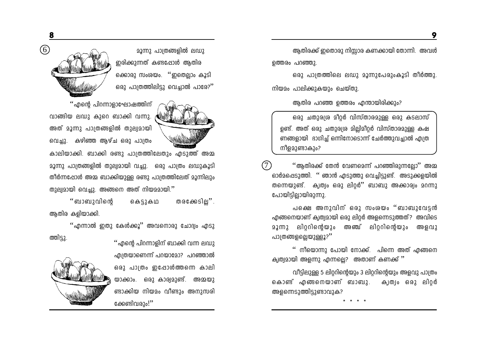**മൂന്നു പാത്രങ്ങളിൽ ലഡു** ഇരിക്കുന്നത് കണ്ടപ്പോൾ ആതിര ക്കൊരു സംശയം. ''ഇതെല്ലാം കൂടി ഒരു പാത്രത്തിലിട്ടു വെച്ചാൽ പാരേ?''

''എന്റെ പിറന്നാളാഘോഷത്തിന് വാങ്ങിയ ലഡു കുറെ ബാക്കി വന്നു. അത് മൂന്നു പാത്രങ്ങളിൽ തുല്വമായി വെച്ചു. കഴിഞ്ഞ ആഴ്ച ഒരു പാത്രം

കാലിയാക്കി. ബാക്കി രണ്ടു പാത്രത്തിലേതും എടുത്ത് അമ്മ മൂന്നു പാത്രങ്ങളിൽ തുല്വമായി വച്ചു. ഒരു പാത്രം ലഡുകൂടി തീർന്നപ്പോൾ അമ്മ ബാക്കിയുള്ള രണ്ടു പാത്രത്തിലേത് മൂന്നിലും തുല്യമായി വെച്ചു. അങ്ങനെ അത് നിയമമായി.''

''ബാബുവിന്റെ തരക്കേടില്ല''. കെട്ടുകഥ ആതിര കളിയാക്കി.

''എന്നാൽ ഇതു കേൾക്കൂ'' അവനൊരു ചോദ്യം എടു ത്തിട്ടു. ''എന്റെ പിറന്നാളിന് ബാക്കി വന്ന ലഡു

എത്രയാണെന്ന് പറയാമോ? പറഞ്ഞാൽ ഒരു പാത്രം ഇപ്പോൾത്തന്നെ കാലി യാക്കാം. ഒരു കാര്വമുണ്ട്. അമ്മയു ണ്ടാക്കിയ നിയമം വീണ്ടും അനുസരി ക്കേണ്ടിവരും!''

ആതിരക്ക് ഇതൊരു നിസ്സാര കണക്കായി തോന്നി. അവൾ ഉത്തരം പറഞ്ഞു.

ഒരു പാത്രത്തിലെ ലഡു മൂന്നുപേരുംകൂടി തീർത്തു. നിയമം പാലിക്കുകയും ചെയ്തു.

ആതിര പറഞ്ഞ ത്തെരം ഹന്തായിരിക്കും?

ഒരു ചതുരശ്ര മീറ്റർ വിസ്താരമുള്ള ഒരു കടലാസ് ഉണ്ട്. അത് ഒരു ചതുരശ്ര മില്ലിമീറ്റർ വിസ്താരമുള്ള കഷ ണങ്ങളായി ഭാഗിച്ച് ഒന്നിനോടൊന്ന് ചേർത്തുവച്ചാൽ എത്ര നീളമുണ്ടാകും?

''ആതിരക്ക് തേൻ വേണമെന്ന് പറഞ്ഞിരുന്നല്ലോ'' അമ്മ ഓർമപ്പെടുത്തി. '' ഞാൻ എടുത്തു വെച്ചിട്ടുണ്ട്. അടുക്കളയിൽ തന്നെയുണ്ട്. ക്വത്വം ഒരു ലിറ്റർ'' ബാബു അക്കാര്വം മറന്നു പോയിട്ടില്ലായിരുന്നു.

പക്ഷെ അനുവിന് ഒരു സംശയം "ബാബുവേട്ടൻ എങ്ങനെയാണ് ക്വത്വമായി ഒരു ലിറ്റർ അളന്നെടുത്തത്? അവിടെ ലിറ്ററിന്റെയും അഞ്ച് ലിറ്ററിന്റെയും അളവു 22 M 2 പാത്രങ്ങളല്ലെയുള്ളൂ?''

'' നീയൊന്നു പോയി നോക്ക്. പിന്നെ അത് എങ്ങനെ ക്വത്വമായി അളന്നു എന്നല്ലെ? അതാണ് കണക്ക് ''

വീട്ടിലുള്ള 5 ലിറ്ററിന്റെയും 3 ലിറ്ററിന്റെയും അളവു പാത്രം കൊണ്ട് എങ്ങനെയാണ് ബാബു. ക്വത്വം ഒരു ലിറർ അളന്നെടുത്തിട്ടുണ്ടാവുക?



 $\circledcirc$ 

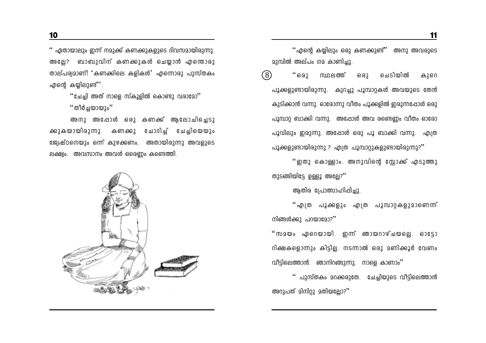'' ഏതായാലും ഇന്ന് നമുക്ക് കണക്കുകളുടെ ദിവസമായിരുന്നു. അല്ലേ? ബാബുവിന് കണക്കുകൾ ചെയ്യാൻ എന്തൊരു താല്പര്വമാണ്! 'കണക്കിലെ കളികൾ' എന്നൊരു പുസ്തകം എന്റെ കയിലുണ്ട് $^{\prime\prime}$ .

> ''ചേച്ചി അത് നാളെ സ്കൂളിൽ കൊണ്ടു വരാമോ'' "തീർചയായും"

അനു അപ്പോൾ ഒരു കണക്ക് ആലോചിച്ചെടു ക്കുകയായിരുന്നു. കണക്കു ചോദിച്ച് ചേച്ചിയെയും ജ്വേഷ്ഠനെയും ഒന്ന് കുഴക്കണം. അതായിരുന്നു അവളുടെ ലക്ഷ്വം. അവസാനം അവൾ ഒരെണ്ണം കണ്ടെത്തി.



''എന്റെ കയ്യിലും ഒരു കണക്കുണ്ട്'' അനു അവരുടെ മുമ്പിൽ അല്പം ഗമ കാണിച്ചു.

 $(8)$  $``602$ ചെടിയിൽ സ്ഥലത്ത് 63.62 കുറെ പൂക്കളുണ്ടായിരുന്നു. കുറച്ചു പൂമ്പാറ്റകൾ അവയുടെ തേൻ കുടിക്കാൻ വന്നു. ഓരോന്നു വീതം പൂക്കളിൽ ഇരുന്നപ്പോൾ ഒരു പൂമ്പാറ്റ ബാക്കി വന്നു. അപ്പോൾ അവ രണ്ടെണ്ണം വീതം ഓരോ പൂവിലും ഇരുന്നു. അപ്പോൾ ഒരു പൂ ബാക്കി വന്നു. എത്ര പൂക്കളുണ്ടായിരുന്നു.? എത്ര പൂമ്പാറ്റുകളുണ്ടായിരുന്നു?''

''ഇതു കൊള്ളാം. അനുവിന്റെ സ്റ്റോക്ക് എടുത്തു തുടങ്ങിയിട്ടേ ഉള്ളൂ അല്ലേ?"

ആതിര പ്രോത്സാഹിപ്പിച്ചു.

''എത്ര പൂക്കളും എത്ര പൂമ്പാറ്റകളുമാണെന്ന് നിങ്ങൾക്കു പറയാമോ?''

''സമയം ഏറെയായി. ഇന്ന് ഞായറാഴ്ചയല്ലെ. ഓട്ടോ റിക്ഷകളൊന്നും കിട്ടില്ല. നടന്നാൽ ഒരു മണിക്കൂർ വേണം വീട്ടിലെത്താൻ. ഞാനിറങ്ങുന്നു. നാളെ കാണാം''

'' പുസ്തകം മറക്കരുതേ. ചേച്ചിയുടെ വീട്ടിലെത്താൻ അറുപത് മിനിറ്റു മതിയല്ലോ?''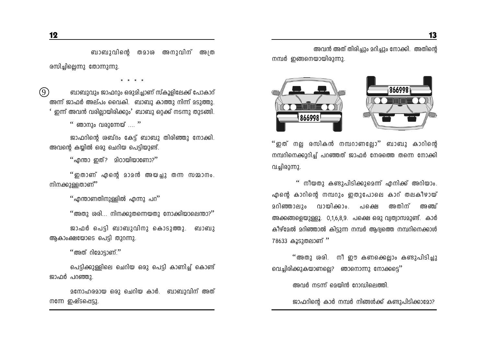ബാബുവിന്റെ തമാശ അനുവിന് അത്ര രസിചിലെന്നു തോന്നുന്നു.

 $\circledcirc$ ബാബുവും ജാഫറും ഒരുമിച്ചാണ് സ്കൂളിലേക്ക് പോകാറ് അന്ന് ജാഫർ അല്പം വൈകി. ബാബു കാത്തു നിന്ന് മടുത്തു. ഇന്ന് അവൻ വരില്ലായിരിക്കും' ബാബു ഒറക്ക് നടന്നു തുടങ്ങി.

 $\lq\lq$  ഞാനും വരുന്നേയ്  $\ldots$  "

ജാഫറിന്റെ ശബ്ദം കേട്ട് ബാബു തിരിഞ്ഞു നോക്കി. അവന്റെ കയ്യിൽ ഒരു ചെറിയ പെട്ടിയുണ്ട്.

 $\lq\lq$ എന്താ ഇത്? മിഠായിയാണോ?''

''ഇതാണ് എന്റെ മാമൻ അയച്ചു തന്ന സമ്മാനം. നിനക്കുള്ളതാണ്"

് എന്താണതിനുള്ളിൽ എന്നു പറ $^{\prime\prime}$ 

 $\cdot$ "അതു ശരി... നിനക്കുതന്നെയതു നോക്കിയാലെന്താ?"

ജാഫർ പെടി ബാബുവിനു കൊടുത്തു. ബാബു ആകാംക്ഷയോടെ പെട്ടി തുറന്നു.

 $``$ അത് റിമോട്ടാണ്. $"$ 

പെട്ടിക്കുള്ളിലെ ചെറിയ ഒരു പെട്ടി കാണിച്ച് കൊണ്ട് ജാഫർ പറഞ്ഞു.

മനോഹരമായ ഒരു ചെറിയ കാർ. ബാബുവിന് അത് നന്നേ ഇഷ്ടപ്പെട്ടു.

അവൻ അത് തിരിച്ചും മറിച്ചും നോക്കി. അതിന്റെ നമ്പർ ഇങ്ങനെയായിരുന്നു.



''ഇത് നല്ല രസികൻ നമ്പറാണല്ലോ'' ബാബു കാറിന്റെ നമ്പറിനെക്കുറിച്ച് പറഞ്ഞത് ജാഫർ നേരത്തെ തന്നെ നോക്കി വച്ചിരുന്നു.

'' നീയതു കണ്ടുപിടിക്കുമെന്ന് എനിക്ക് അറിയാം. എന്റെ കാറിന്റെ നമ്പറും ഇതുപോലെ കാറ് തലകീഴായ് <u> മറിഞ്ഞാലും വായിക്കാം.</u> അതിന് പക്ഷെ അ ഞ് അക്കങ്ങളെയുള്ളൂ. 0,1,6,8,9. പക്ഷെ ഒരു വ്വത്വാസമുണ്ട്. കാർ കീഴ്മേൽ മറിഞ്ഞാൽ കിടുന്ന നമ്പർ ആദ്വത്തെ നമ്പറിനെക്കാൾ 78633 കൂടുതലാണ്"

''അതു ശരി. നീ ഈ കണക്കെല്ലാം കണ്ടുപിടിച്ചു വെച്ചിരിക്കുകയാണല്ലെ? ഞാനൊന്നു നോക്കട്ടെ''

അവർ നടന്ന് മെയിൻ റോഡിലെത്തി.

ജാഫറിന്റെ കാർ നമ്പർ നിങ്ങൾക്ക് കണ്ടുപിടിക്കാമോ?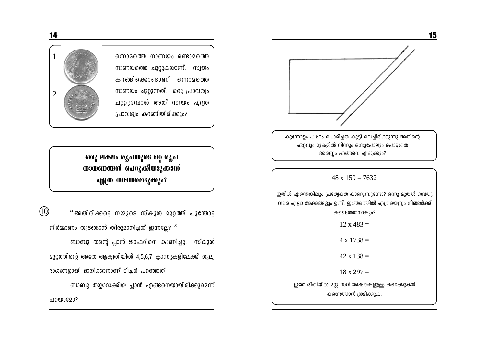

15

ഏറ്റവും മുകളിൽ നിന്നും ഒന്നുപോലും പൊട്ടാതെ ഒരെണ്ണം എങ്ങനെ എടുക്കും?

 $48 \times 159 = 7632$ 

ഇതിൽ എന്തെങ്കിലും പ്രത്വേകത കാണുന്നുണ്ടോ? ഒന്നു മുതൽ ഒമ്പതു വരെ എല്ലാ അക്കങ്ങളും ഉണ്ട്. ഇത്തരത്തിൽ എത്രയെണ്ണം നിങ്ങൾക്ക് കണ്ടെത്താനാകും?

 $12 \times 483 =$ 

 $4 \times 1738 =$ 

 $42 \times 138 =$ 

 $18 \times 297 =$ 

ഇതേ രീതിയിൽ മറ്റു സവിശേഷതകളുള്ള കണക്കുകൾ കണ്ടെത്താൻ ശ്രമിക്കുക.

ഒന്നാമത്തെ നാണയം രണ്ടാമത്തെ നാണയത്തെ ചുറ്റുകയാണ്. സ്വയം കറങ്ങിക്കൊണ്ടാണ് ഒന്നാമത്തെ നാണയം ചുറ്റുന്നത്. ഒരു പ്രാവശ്വം ചുറ്റുമ്പോൾ അത് സ്വയം എത്ര പ്രാവര്വം കറങ്ങിയിരിക്കും?



ஒடு? பக்ஷா குவல்ஜை ஒட்டு க നായണങ്ങൾ പെറുക്കിയടുക്കാൻ **എത്ര സമയമെടുക്കും?** 

 $\circled{0}$ "അതിരിക്കട്ടെ നമ്മുടെ സ്കൂൾ മുറ്റത്ത് പൂന്തോട്ട നിർമ്മാണം തുടങ്ങാൻ തീരുമാനിച്ചത് ഇന്നല്ലേ? ''

ബാബു തന്റെ പ്ലാൻ ജാഫറിനെ കാണിച്ചു. സ്കൂൾ 230റത്തിന്റെ അതേ ആക്വതിയിൽ 4,5,6,7 ക്ലാസുകളിലേക്ക് തുല്വ ഭാഗങ്ങളായി ഭാഗിക്കാനാണ് ടീച്ചർ പറഞ്ഞത്.

ബാബു തയ്യാറാക്കിയ പ്ലാൻ എങ്ങനെയായിരിക്കുമെന്ന് പറയാമോ?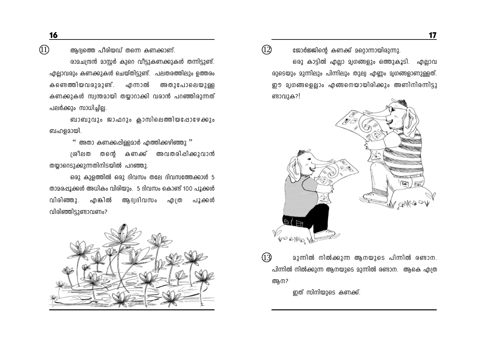16

 $\circled{1}$ 

ആദ്വത്തെ പീരിയഡ് തന്നെ കണക്കാണ്.

രാമചന്ദ്രൻ മാസ്റ്റർ കുറെ വീട്ടുകണക്കുകൾ തന്നിട്ടുണ്ട്. എല്ലാവരും കണക്കുകൾ ചെയ്തിട്ടുണ്ട്. പലതരത്തിലും ഉത്തരം കണ്ടെത്തിയവരുമുണ്ട്. എന്നാൽ അതുപോലെയുള്ള കണക്കുകൾ സ്വന്തമായി തയ്യാറാക്കി വരാൻ പറഞ്ഞിരുന്നത് പലർക്കും സാധിച്ചില്ല.

ബാബുവും ജാഫറും ക്ലാസിലെത്തിയപ്പോഴേക്കും ബഹളമായി.

 $\lq\lq$ ് അതാ കണക്കപ്പിള്ളമാർ എത്തിക്കഴിഞ്ഞു  $\lq\rq$ 

ശ്രീലത തന്റെ കണക്ക് അവതരിപ്പിക്കുവാൻ തയ്യാറെടുക്കുന്നതിനിടയിൽ പറഞ്ഞു.

ഒരു കുളത്തിൽ ഒരു ദിവസം തലേ ദിവസത്തേക്കാൾ 5 താമരപ്പൂക്കൾ അധികം വിരിയും. 5 ദിവസം കൊണ്ട് 100 പൂക്കൾ വിരിഞ്ഞു. എങ്കിൽ ആദ്വദിവസം എത്ര പൂക്കൾ വിരിഞ്ഞിട്ടുണ്ടാവണം?



ജോർജ്ജിന്റെ കണക്ക് മറ്റൊന്നായിരുന്നു.

 $\Omega$ 

ഒരു കാട്ടിൽ എല്ലാ മൃഗങ്ങളും ഒത്തുകൂടി. എല്ലാവ രുടെയും മുന്നിലും പിന്നിലും തുല്വ എണ്ണം മൃഗങ്ങളാണുള്ളത്. ഈ മൃഗങ്ങളെല്ലാം എങ്ങനെയായിരിക്കും അണിനിരന്നിട്ടു ണ്ടാവുക?!



മുന്നിൽ നിൽക്കുന്ന ആനയുടെ പിന്നിൽ രണ്ടാന. പിന്നിൽ നിൽക്കുന്ന ആനയുടെ മുന്നിൽ രണ്ടാന. ആകെ എത്ര ആന?

ഇത് സിനിയുടെ കണക്ക്.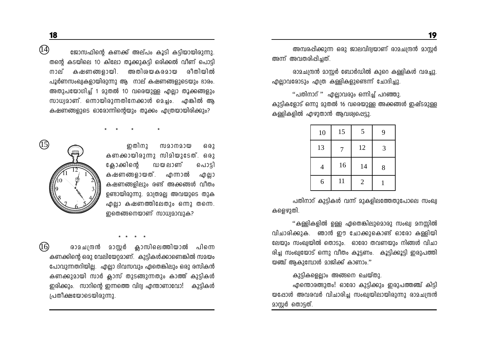അമ്പരപ്പിക്കുന്ന ഒരു ജാലവിദ്വയാണ് രാമചന്ദ്രൻ മാസർ അന്ന് അവതരിപ്പിച്ചത്.

രാമചന്ദ്രൻ മാസർ ബോർഡിൽ കുറെ കള്ളികൾ വരച്ചു. എല്ലാവരോടും എത്ര കള്ളികളുണ്ടെന്ന് ചോദിച്ചു.

"പതിനാറ് " എല്ലാവരും ഒന്നിച്ച് പറഞ്ഞു. കുട്ടികളോട് ഒന്നു മുതൽ 16 വരെയുള്ള അക്കങ്ങൾ ഇഷ്ടമുള്ള കള്ളികളിൽ എഴുതാൻ ആവശ്വപ്പെട്ടു.

| 10 | 15 | 5              | 9 |
|----|----|----------------|---|
| 13 | 7  | 12             | 3 |
| 4  | 16 | 14             | 8 |
| 6  | 11 | $\overline{2}$ |   |

പതിനാറ് കുട്ടികൾ വന്ന് മുകളിലത്തേതുപോലെ സംഖ്വ കളെഴുതി.

''കള്ളികളിൽ ഉള്ള ഏതെങ്കിലുമൊരു സംഖ്വ മനസ്സിൽ വിചാരിക്കുക. ഞാൻ ഈ ചോക്കുകൊണ്ട് ഓരോ കള്ളിയി ലേയും സംഖ്വയിൽ തൊടും. ഓരോ തവണയും നിങ്ങൾ വിചാ രിച്ച സംഖ്വയോട് ഒന്നു വീതം കൂട്ടണം. കൂട്ടിക്കൂട്ടി ഇരുപത്തി യഞ്ച് ആകുമ്പോൾ മാജിക്ക് കാണാം."

### കുട്ടികളെല്ലാം അങ്ങനെ ചെയ്തു.

എന്തൊരത്ഭുതം! ഓരോ കുട്ടിക്കും ഇരുപത്തഞ്ച് കിട്ടി യപ്പോൾ അവരവർ വിചാരിച്ച സംഖ്വയിലായിരുന്നു രാമചന്ദ്രൻ മാസ്ലർ തൊട്ടത്.

 $\circled{4}$ ജോസഫിന്റെ കണക്ക് അല്പം കൂടി കടിയായിരുന്നു. തന്റെ കടയിലെ 10 കിലോ തൂക്കുകട്ടി ഒരിക്കൽ വീണ് പൊട്ടി നാല് കഷണങ്ങളായി. അതിശയകരമായ രീതിയിൽ പൂർണസംഖ്വകളായിരുന്നു ആ നാല് കഷണങ്ങളുടെയും ഭാരം. അതുപയോഗിച്ച് 1 മുതൽ 10 വരെയുള്ള എല്ലാ തൂക്കങ്ങളും സാധ്വമാണ്. ഒന്നായിരുന്നതിനേക്കാൾ മെച്ചം. എങ്കിൽ ആ കഷണങ്ങളുടെ ഓരോന്നിന്റെയും തൂക്കം എത്രയായിരിക്കും?

ഇതിനു സമാനമായ  $602$ കണക്കായിരുന്നു സിമിയുടേത്. ഒരു ക്ലോക്കിന്റെ ഡയലാണ് പൊട്ടി കഷണങ്ങളായത്. എന്നാൽ എല്ലാ കഷണങ്ങളിലും രണ്ട് അക്കങ്ങൾ വീതം ഉണ്ടായിരുന്നു. മാത്രമല്ല അവയുടെ തുക എല്ലാ കഷണത്തിലേതും ഒന്നു തന്നെ. ഇതെങ്ങനെയാണ് സാധ്വമാവുക?



 $\sqrt{16}$ രാമചന്ദ്രൻ മാസർ കാസിലെത്തിയാൽ പിന്നെ കണക്കിന്റെ ഒരു വേലിയേറ്റമാണ്. കുട്ടികൾക്കാണെങ്കിൽ സമയം പോവുന്നതറിയില്ല. എല്ലാ ദിവസവും ഏതെങ്കിലും ഒരു രസികൻ കണക്കുമായി സാർ ക്ലാസ് തുടങ്ങുന്നതും കാത്ത് കുട്ടികൾ ഇരിക്കും. സാറിന്റെ ഇന്നത്തെ വിദ്വ എന്താണാവോ! കുട്ടികൾ പ്രതീക്ഷയോടെയിരുന്നു.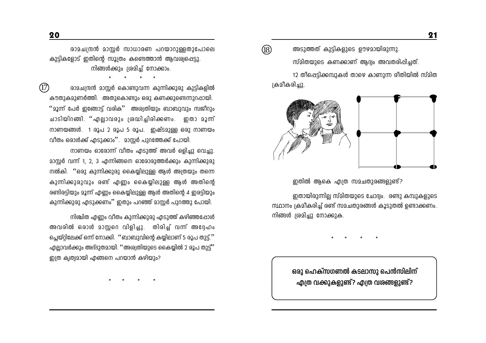20

രാമചന്ദ്രൻ മാസ്റ്റർ സാധാരണ പറയാറുള്ളതുപോലെ കുട്ടികളോട് ഇതിന്റെ സൂത്രം കണ്ടെത്താൻ ആവശ്വപ്പെട്ടു. നിങ്ങൾക്കും ശ്രമിച്ച് നോക്കാം.

 $(\overline{17})$ രാമചന്ദ്രൻ മാസ്റ്റർ കൊണ്ടുവന്ന കുന്നിക്കുരു കുട്ടികളിൽ കൗതുകമുണർത്തി. അതുകൊണ്ടും ഒരു കണക്കുണ്ടെന്നുറപ്പായി. ''മൂന്ന് പേർ ഇങ്ങോട്ട് വരിക'' അശ്വതിയും ബാബുവും സജീറും ചാടിയിറങ്ങി. ''എല്ലാവരും ശ്രദ്ധിച്ചിരിക്കണം. ഇതാ മൂന്ന് നാണയങ്ങൾ. 1 രൂപ 2 രൂപ 5 രൂപ. ഇഷ്ടമുള്ള ഒരു നാണയം വിതം ഒരാൾക്ക് എടുക്കാം''. മാസർ പുറത്തേക്ക് പോയി.

നാണയം ഓരോന്ന് വീതം എടുത്ത് അവർ ഒളിച്ചു വെച്ചു. മാസ്റ്റർ വന്ന് 1, 2, 3 എന്നിങ്ങനെ ഓരോരുത്തർക്കും കുന്നിക്കുരു നൽകി. ''ഒരു കുന്നിക്കുരു കൈയിലുള്ള ആൾ അത്രയും തന്നെ കുന്നിക്കുരുവും രണ്ട് എണ്ണം കൈയ്യിലുള്ള ആൾ അതിന്റെ രണ്ടിരട്ടിയും മൂന്ന് എണ്ണം കൈയ്യിലുള്ള ആൾ അതിന്റെ 4 ഇരട്ടിയും കുന്നിക്കുരു എടുക്കണം'' ഇതും പറഞ്ഞ് മാസ്റ്റർ പുറത്തു പോയി.

നിശ്ചിത എണ്ണം വീതം കുന്നിക്കുരു എടുത്ത് കഴിഞ്ഞപ്പോൾ അവരിൽ ഒരാൾ മാസ്റ്ററെ വിളിച്ചു. തിരിച്ച് വന്ന് അദ്ദേഹം പ്ലെയ്റ്റിലേക്ക് ഒന്ന് നോക്കി. ''ബാബുവിന്റെ കയ്യിലാണ് 5 രൂപ തുട്ട്.'' എല്ലാവർക്കും അദ്ദുതമായി. ''അശ്വതിയുടെ കൈയിൽ 2 രൂപ തുട്ട്'' ഇത്ര ക്വത്വമായി എങ്ങനെ പറയാൻ കഴിയും?

 $\circledR$ അടുത്തത് കുട്ടികളുടെ ഊഴമായിരുന്നു.

സ്മിതയുടെ കണക്കാണ് ആദ്വം അവതരിപ്പിച്ചത്. 12 തീപ്പെട്ടിക്കമ്പുകൾ താഴെ കാണുന്ന രീതിയിൽ സ്മിത

ക്രമീകരിച്ചു.



ഇതിൽ ആകെ എത്ര സമചതുരങ്ങളുണ്ട്?

ഇതായിരുന്നില്ല സ്മിതയുടെ ചോദ്വം. രണ്ടു കമ്പുകളുടെ സ്ഥാനം ക്രമീകരിച്ച് രണ്ട് സമചതുരങ്ങൾ കൂടുതൽ ഉണ്ടാക്കണം. നിങ്ങൾ ശ്രമിച്ചു നോക്കുക.

ഒരു ഹെക്സഗണൽ കടലാസു പെൻസിലിന് എത്ര വക്കുകളുണ്ട്? എത്ര വരങ്ങളുണ്ട്?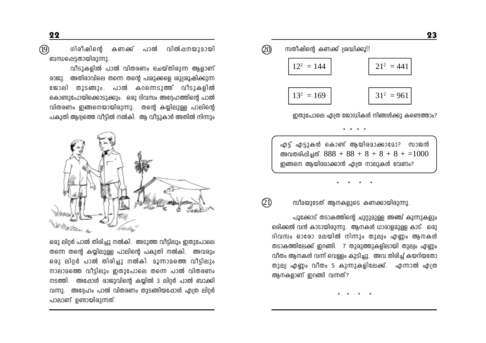$\circled{19}$ ഗിരീഷിന്റെ പാൽ വിൽപ്പനയുമായി കണക്ക് ബന്ധപ്പെട്ടതായിരുന്നു.

വീടുകളിൽ പാൽ വിതരണം ചെയ്തിരുന്ന ആളാണ് രാജു. അതിരാവിലെ തന്നെ തന്റെ പശുക്കളെ ശുശ്രൂഷിക്കുന്ന ജോലി തുടങ്ങും. പാൽ കറന്നെടുത്ത് വീടുകളിൽ കൊണ്ടുപോയിക്കൊടുക്കും. ഒരു ദിവസം അദ്ദേഹത്തിന്റെ പാൽ വിതരണം ഇങ്ങനെയായിരുന്നു. തന്റെ കയ്യിലുള്ള പാലിന്റെ പകുതി ആദ്വത്തെ വീട്ടിൽ നൽകി. ആ വീട്ടുകാർ അതിൽ നിന്നും



ഒരു ലിറ്റർ പാൽ തിരിച്ചു നൽകി. അടുത്ത വീട്ടിലും ഇതുപോലെ തന്നെ തന്റെ കയ്യിലുള്ള പാലിന്റെ പകുതി നൽകി. അവരും ഒരു ലിറ്റർ പാൽ തിരിച്ചു നൽകി. മൂന്നാമത്തെ വീട്ടിലും നാലാമത്തെ വീട്ടിലും ഇതുപോലെ തന്നെ പാൽ വിതരണം നടത്തി. അഷോൾ രാജുവിന്റെ കയ്യിൽ 3 ലിറ്റർ പാൽ ബാക്കി വന്നു. അദ്ദേഹം പാൽ വിതരണം തുടങ്ങിയപ്പോൾ എത്ര ലിറർ പാലാണ് ഉണ്ടായിരുന്നത്.

സതീഷിന്റെ കണക്ക് ശ്രദ്ധിക്കൂ!! Q0

| $12^2 = 144$ | $21^2 = 441$ |
|--------------|--------------|
| $13^2 = 169$ | $31^2 = 961$ |
|              |              |

ഇതുപോലെ എത്ര ജോഡികൾ നിങ്ങൾക്കു കണ്ടെത്താം?

എട്ട് എട്ടുകൾ കൊണ്ട് ആയിരമാക്കാമോ? സാജൻ അവതരിപ്പിച്ചത്.  $888 + 88 + 8 + 8 + 8 + 1000$ ഇങ്ങനെ ആയിരമാക്കാൻ എത്ര നാലുകൾ വേണം?

 $* * * * *$ 

സീമയുടേത് ആനകളുടെ കണക്കായിരുന്നു.

 $\circled{1}$ 

പൂക്കോട് തടാകത്തിന്റെ ചുറ്റുമുള്ള അഞ്ച് കുന്നുകളും ഒരിക്കൽ വൻ കാടായിരുന്നു. അനകൾ ധാരാളമുള്ള കാട്. ഒരു ദിവസം ഓരോ മലയിൽ നിന്നും തുല്വം എണ്ണം ആനകൾ തടാകത്തിലേക്ക് ഇറങ്ങി. 7 തുരുത്തുകളിലായി തുല്വം എണം വീതം ആനകൾ വന്ന് വെള്ളം കുടിച്ചു. അവ തിരിച്ച് കയറിയതോ തുല്വ എണ്ണം വീതം 5 കുന്നുകളിലേക്ക്. എന്നാൽ എത്ര ആനകളാണ് ഇറങ്ങി വന്നത്?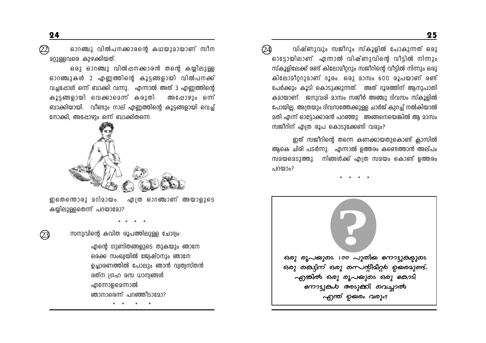$\circled{2}$ ഓറഞ്ചു വിൽപനക്കാരന്റെ കഥയുമായാണ് സീന മറുള്ളവരെ കുഴക്കിയത്.

ഒരു ഓറഞ്ചു വിൽപ്പനക്കാരൻ തന്റെ കയ്യിലുള്ള ഓറഞ്ചുകൾ 2 എണ്ണത്തിന്റെ കൂട്ടങ്ങളായി വിൽപനക്ക് വച്ചപ്പോൾ ഒന്ന് ബാക്കി വന്നു. എന്നാൽ അത് 3 എണ്ണത്തിന്റെ കൂട്ടങ്ങളായി വെക്കാമെന്ന് കരുതി. അപോഴും ഒന്ന് ബാക്കിയായി. വീണ്ടും നാല് എണ്ണത്തിന്റെ കൂട്ടങ്ങളായി വെച്ച് നോക്കി, അഷോഴും ഒന്ന് ബാക്കിതന്നെ.



ഇതെന്തൊരു മറിമായം. എത്ര ഓറഞ്ചാണ് അയാളുടെ കയിലുള്ളതെന്ന് പറയാമോ?



സനുവിന്റെ കവിത രൂപത്തിലുള്ള ചോദ്വം:

എന്റെ ഗുണിതങ്ങളുടെ തുകയും ഞാനേ ഒരക്ക സംഖ്വയിൽ ജ്വേഷ്ഠനും ഞാനേ ഉച്ചാരണത്തിൽ പോലും ഞാൻ വ്വത്വസ്തൻ രത്ന ഗ്രഹ രസ ധാന്വങ്ങൾ എന്നോളമെന്നാൽ ഞാനാരെന്ന് പറഞ്ഞീടാമോ?

വിഷ്ണുവും സജീറും സ്കൂളിൽ പോകുന്നത് ഒരു QÀ) ഓട്ടോയിലാണ്. എന്നാൽ വിഷ്ണുവിന്റെ വീട്ടിൽ നിന്നും സ്കൂളിലേക്ക് രണ്ട് കിലോമീറ്ററും സജീറിന്റെ വീട്ടിൽ നിന്നും ഒരു കിലോമീററുമാണ് ദൂരം. ഒരു മാസം 600 രൂപയാണ് രണ്ട് പേർക്കും കൂടി കൊടുക്കുന്നത്. അത് ദൂരത്തിന് ആനുപാതി കമായാണ്. ജനുവരി മാസം സജീർ അഞ്ചു ദിവസം സ്കൂളിൽ പോയില്ല. അത്രയും ദിവസത്തേക്കുള്ള ചാർജ് കുറച്ച് നൽകിയാൽ മതി എന്ന് ഓട്ടോക്കാരൻ പറഞ്ഞു. അങ്ങനെയെങ്കിൽ ആ മാസം സജീറിന് എത്ര രൂപ കൊടുക്കേണ്ടി വരും?

ഇത് സജീറിന്റെ തന്നെ കണക്കായതുകൊണ്ട് ക്ലാസിൽ ആകെ ചിരി പടർന്നു. എന്നാൽ ഉത്തരം കണ്ടെത്താൻ അല്പം സമയമെടുത്തു. നിങ്ങൾക്ക് എത്ര സമയം കൊണ്ട് ഉത്തരം പറയാം?

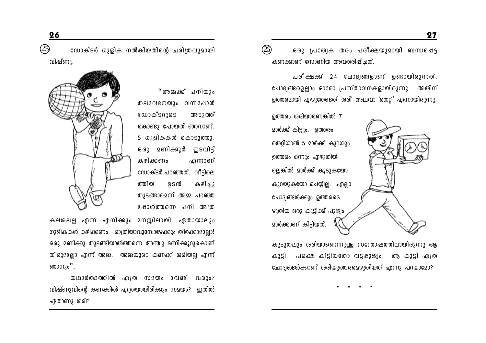$(26)$ ഒരു പ്രത്വേക തരം പരീക്ഷയുമായി ബന്ധപ്പെട്ട കണക്കാണ് സോണിയ അവതരിപ്പിച്ചത്.

പരീക്ഷക്ക് 24 ചോദ്യങ്ങളാണ് ഉണ്ടായിരുന്നത്. ചോദ്യങ്ങളെല്ലാം ഓരോ പ്രസ്താവനകളായിരുന്നു. അതിന് ഉത്തരമായി എഴുതേണ്ടത് 'രരി' അഥവാ 'തെറ്' എന്നായിരുന്നു.

ഉത്തരം ശരിയാണെങ്കിൽ 7 മാർക്ക് കിട്ടും. ഉത്തരം തെറ്റിയാൽ 5 മാർക്ക് കുറയും. ഉത്തരം ഒന്നും എഴുതിയി ല്ലെങ്കിൽ മാർക്ക് കൂടുകയോ കുറയുകയോ ചെയ്യില്ല. എല്ലാ ചോദ്വങ്ങൾക്കും ഉത്തരമെ ഴുതിയ ഒരു കുട്ടിക്ക് പൂജ്വം മാർക്കാണ് കിട്ടിയത്.

കൂടുതലും ശരിയാണെന്നുള്ള സന്തോഷത്തിലായിരുന്നു ആ കുട്ടി. പക്ഷെ കിട്ടിയതോ വട്ടപ്പൂജ്വം. ആ കുട്ടി എത്ര ചോദ്വങ്ങൾക്കാണ് ശരിയുത്തരമെഴുതിയത് എന്നു പറയാമോ?

ഡോക്ടർ ഗുളിക നൽകിയതിന്റെ ചരിത്രവുമായി വിഷ്ണു.

> "അമാക് പനിയും തലവേദനയും വന്നപ്പോൾ **ເ**ພາകັຣດາຄຣ അടാത്ത് കൊണ്ടു പോയത് ഞാനാണ്. 5 ഗുളികകൾ കൊടുത്തു. ഒരു മണിക്കൂർ ഇടവിട് കഴിക്കണം .എന്നാണ് ഡോക്ടർ പറഞ്ഞത്. വീടിലെ കഴിച്ചു ത്തിയ ഉടൻ തുടങ്ങാമെന്ന് അമ്മ പറഞ്ഞ ഷോൾത്തന്നെ പനി അത



കലശലല്ല എന്ന് എനിക്കും മനസ്സിലായി. ഏതായാലും ഗുളികകൾ കഴിക്കണം. രാത്രിയാവുമ്പോഴേക്കും തീർക്കാമല്ലോ! ഒരു മണിക്കു തുടങ്ങിയാൽത്തന്നെ അഞ്ചു മണിക്കൂറുകൊണ്ട് തീരുമല്ലോ എന്ന് അമ്മ. അമ്മയുടെ കണക്ക് ശരിയല്ല എന്ന് ഞാനും''.

യഥാർത്ഥത്തിൽ എത്ര സമയം വേണ്ടി വരും? വിഷ്ണുവിന്റെ കണക്കിൽ എത്രയായിരിക്കും സമയം? ഇതിൽ ഏതാണു ശരി?

 $\circledS$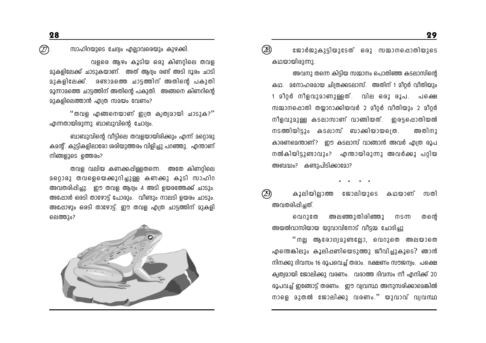സാഹിറയുടെ ചേദ്വം എല്ലാവരെയും കുഴക്കി.

വളരെ ആഴം കൂടിയ ഒരു കിണറ്റിലെ തവള മുകളിലേക്ക് ചാടുകയാണ്. അത് ആദ്വം രണ്ട് അടി ദൂരം ചാടി മുകളിലേക്ക്. രണ്ടാമത്തെ ചാട്ടത്തിന് അതിന്റെ പകുതി മൂന്നാമത്തെ ചാട്ടത്തിന് അതിന്റെ പകുതി. അങ്ങനെ കിണറിന്റെ മാകളിലെത്താൻ എത്ര സമയം വേണം?

"തവള എങ്ങനെയാണ് ഇത്ര ക്വത്വമായി ചാടുക?" എന്നതായിരുന്നു ബാബുവിന്റെ ചോദ്വം.

ബാബുവിന്റെ വീട്ടിലെ തവളയായിരിക്കും എന്ന് മറ്റൊരു ക്ഷൻ്. കുടികളിലാരോ ശരിയുത്തരം വിളിച്ചു പറഞ്ഞു. എന്താണ് നിങ്ങളുടെ ഉത്തരം?

തവള വലിയ കണക്കപ്പിള്ളതന്നെ. അതേ കിണറിലെ മറ്റൊരു തവളെയെക്കുറിച്ചുള്ള കണക്കു കൂടി സാഹിറ അവതരിപ്പിച്ചു. ഈ തവള ആദ്വം 4 അടി ഉയരത്തേക്ക് ചാടും. അപ്പോൾ ഒരടി താഴോട്ട് പോരും. വീണ്ടും നാലടി ഉയരം ചാടും. അപ്പോഴും ഒരടി താഴോട്. ഈ തവള എത്ര ചാട്ടത്തിന് മുകളി ലെത്തും?



 $(28)$ ജോർജുകുട്ടിയുടേത് ഒരു സമ്മാനപ്പൊതിയുടെ കഥയായിരുന്നു.

അവനു തന്നെ കിട്ടിയ സമ്മാനം പൊതിഞ്ഞ കടലാസിന്റെ കഥ. മനോഹരമായ ചിത്രക്കടലാസ്. അതിന് 1 മീറ്റർ വീതിയും 1 മീറർ നീളവുമാണുള്ളത്. വില ഒരു രൂപ. പക്ഷെ സമ്മാനപ്പൊതി തയാറാക്കിയവർ 2 മീറർ വീതിയും 2 മീറർ നീളവുമുള്ള കടലാസാണ് വാങ്ങിയത്. ഇരട്ടപ്പൊതിയൽ നടത്തിയിട്ടും കടലാസ് ബാക്കിയായദെത. അതിനാ കാരണമെന്താണ്? ഈ കടലാസ് വാങ്ങാൻ അവർ എത്ര രൂപ നൽകിയിട്ടുണ്ടാവും? എന്തായിരുന്നു അവർക്കു പറ്റിയ അബദ്ധം? കണ്ടുപിടിക്കാമോ?

കൂലിയില്ലാത്ത ജോലിയുടെ കഥയാണ് സതി അവതരിപ്പിച്ചത്.

അലഞ്ഞുതിരിഞ്ഞു വെറുതേ msm തന്തെ അയൽവാസിയായ യുവാവിനോട് വീട്ടമ്മ ചോദിച്ചു

"നല്ല ആരോഗ്വമുണ്ടലോ, വെറുതെ അലയാതെ എന്തെങ്കിലും കൂലിപ്പണിയെടുത്തു ജീവിച്ചുകൂടെ? ഞാൻ നിനക്കു ദിവസം 16 രൂപവെച്ച് തരാം. ഭക്ഷണം സൗജന്വം. പക്ഷെ ക്വത്വമായി ജോലിക്കു വരണം. വരാത്ത ദിവസം നീ എനിക്ക് 20 രൂപവച്ച് ഇങ്ങോട്ട് തരണം. ഈ വ്വവസ്ഥ അനുസരിക്കാമെങ്കിൽ നാളെ മുതൽ ജോലിക്കു വരണം.'' യുവാവ് വ്വവസ്ഥ

 $\circledZ$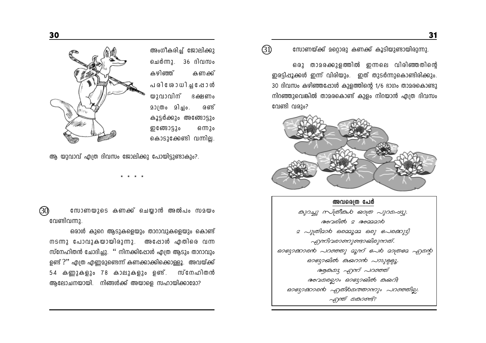

അംഗീകരിച്ച് ജോലിക്കു ചെർന്നു. 36 ദിവസം കഴിഞ്ഞ് കണക്ക് പരി ശോധിച്ച ഷോൾ യുവാവിന് ഭക്ഷണം 201000 21210. രണ്ട് കൂട്ടർക്കും അത്ങോട്ടും ഇ ത്രോട്ടും ഒന്നും കൊടുക്കേണ്ടി വന്നില്ല.

ആ യുവാവ് എത്ര ദിവസം ജോലിക്കു പോയിട്ടുണ്ടാകും?.

 $\circledS$ സോണയുടെ കണക്ക് ചെയ്യാൻ അൽപം സമയം വേണ്ടിവന്നു.

ഒരാൾ കുറെ ആടുകളെയും താറാവുകളെയും കൊണ്ട് നടന്നു പോവുകയായിരുന്നു. അഷോൾ എതിരെ വന്ന സ്നേഹിതൻ ചോദിച്ചു. '' നിനക്കിഷോൾ എത്ര ആടും താറാവും ഉണ്ട് ?'' എത്ര എണ്ണമുണ്ടെന്ന് കണക്കാക്കിക്കൊള്ളൂ. അവയ്ക്ക് 54 കണ്ണുകളും 78 കാലുകളും ഉണ്. സ്നേഹിതൻ ആലോചനയായി. നിങ്ങൾക്ക് അയാളെ സഹായിക്കാമോ?

#### $(3)$ സോണയ്ക്ക് മറ്റൊരു കണക്ക് കൂടിയുണ്ടായിരുന്നു.

ഒരു താമരക്കുളത്തിൽ ഇന്നലെ വിരിഞ്ഞതിന്റെ ഇരട്ടിപ്പൂക്കൾ ഇന്ന് വിരിയും. ഇത് തുടർന്നുകൊണ്ടിരിക്കും. 30 ദിവസം കഴിഞ്ഞപ്പോൾ കുളത്തിന്റെ 1/6 ഭാഗം താമരകൊണ്ടു നിറഞ്ഞുവെങ്കിൽ താമരകൊണ്ട് കുളം നിറയാൻ എത്ര ദിവസം വേണ്ടി വരും?



അവരെത്ര പേർ கு வது மாகிகம் கூற புறையை അവരിൽ 2 അമ്മമാ**6** 2 പുത്രിമാര ഒരമ്മൂമ്മ ഒരു ഭപരക്കുട്ടി എന്നിവരാണുണ്ടായിരുന്നത്. ഓഭ്യാക്കാരൻ പറഞ്ഞു മൂന്ന് *പേ*ര മാത്രമേ എന്റെ ෨෨෨෯෦෨෯෨෨෬෦෮෦*ඁ෬෨෧෧෭* ആക്കു എന്ന് പറഞ്ഞ് അവമരലാം ഓദ്യായിൽ കുയറി! ဓാഗ്മോരൻ എതി6മത്താന്നും പറഞ്ഞില്ല. എന്ത് കൊണ്ട്?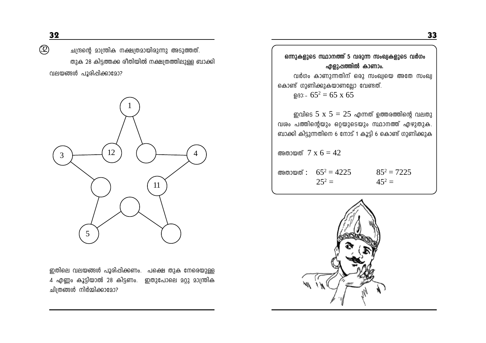$\circledS$ 

ചന്ദ്രന്റെ മാന്ത്രിക നക്ഷത്രമായിരുന്നു അടുത്തത്. തുക 28 കിട്ടത്തക്ക രീതിയിൽ നക്ഷത്രത്തിലുള്ള ബാക്കി വലയങ്ങൾ പൂരിപ്പിക്കാമോ?



ഇതിലെ വലയങ്ങൾ പൂരിപ്പിക്കണം. പക്ഷെ തുക നേരെയുള്ള 4 എണ്ണം കൂട്ടിയാൽ 28 കിട്ടണം. ഇതുപോലെ മറ്റു മാന്ത്രിക ചിത്രങ്ങൾ നിർമ്മിക്കാമോ?

ഒന്നുകളുടെ സ്ഥാനത്ത് 5 വരുന്ന സംഖ്യകളുടെ വർഗം എളുപ്പത്തിൽ കാണാം. വർഗം കാണുന്നതിന് ഒരു സംഖ്യയെ അതേ സംഖ്യ കൊണ്ട് ഗുണിക്കുകയാണല്ലോ വേണ്ടത്. DB3:-  $65^2 = 65 \times 65$ ഇവിടെ 5 x 5  $= 25$  എന്നത് ഉത്തരത്തിന്റെ വലതു വശം പത്തിന്റെയും ഒറ്റയുടെയും സ്ഥാനത്ത് എഴുതുക. ബാക്കി കിട്ടുന്നതിനെ 6 നോട് 1 കൂട്ടി 6 കൊണ്ട് ഗുണിക്കുക അതായത്  $7 \times 6 = 42$ അതായത് :  $65^2 = 4225$  $85^2 = 7225$  $25^2 =$  $45^2 =$ 

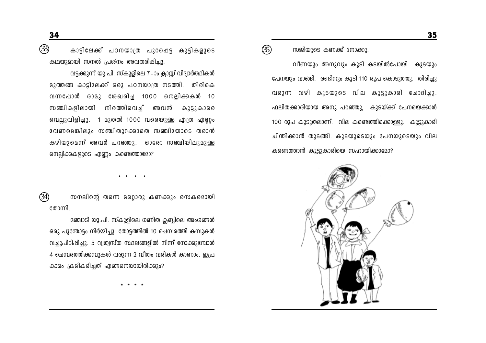$\circled{3}$ കാട്ടിലേക്ക് പഠനയാത്ര പുറപ്പെട്ട കുട്ടികളുടെ കഥയുമായി സനൽ പ്രശ്നം അവതരിപ്പിച്ചു

വട്ടക്കുന്ന് യു.പി. സ്കൂളിലെ 7 - ാം ക്ലാസ്സ് വിദ്വാർത്ഥികൾ മുത്തങ്ങ കാട്ടിലേക്ക് ഒരു പഠനയാത്ര നടത്തി. തിരികെ വന്നപ്പോൾ രാമു ശേഖരിച്ച 1000 നെല്ലിക്കകൾ 10 സഞ്ചികളിലായി നിരത്തിവെച് അവൻ കൂട്ടുകാരെ വെല്ലുവിളിച്ചു. 1 മുതൽ 1000 വരെയുള്ള എത്ര എണ്ണം വേണമെങ്കിലും സഞ്ചിതുറക്കാതെ സഞ്ചിയോടെ തരാൻ കഴിയുമെന്ന് അവർ പറഞ്ഞു. ഓരോ സഞ്ചിയിലുമുള്ള നെല്ലിക്കുകളുടെ എണ്ണം കണ്ടെത്താമോ?

 $(3)$ സനലിന്റെ തന്നെ മറ്റൊരു കണക്കും രസകരമായി തോന്നി.

മഞ്ചാടി യു.പി. സ്കൂളിലെ ഗണിത ക്ലബ്ബിലെ അംഗങ്ങൾ ഒരു പൂന്തോട്ടം നിർമ്മിച്ചു. തോട്ടത്തിൽ 10 ചെമ്പരത്തി കമ്പുകൾ വച്ചുപിടിപ്പിച്ചു. 5 വ്വത്വസ്ത സ്ഥലങ്ങളിൽ നിന്ന് നോക്കുമ്പോൾ 4 ചെമ്പരത്തിക്കമ്പുകൾ വരുന്ന 2 വീതം വരികൾ കാണാം. ഇപ്ര കാരം ക്രമീകരിച്ചത് എങ്ങനെയായിരിക്കും?

 $\circledS$ സജിയുടെ കണക്ക് നോക്കൂ.

വീണയും അനുവും കൂടി കടയിൽപോയി കുടയും പേനയും വാങ്ങി. രണ്ടിനും കൂടി 110 രൂപ കൊടുത്തു. തിരിച്ചു വരുന്ന വഴി കുടയുടെ വില കൂട്ടുകാരി ചോദിച്ചു. ഫലിതക്കാരിയായ അനു പറഞ്ഞു. കുടയ്ക്ക് പേനയെക്കാൾ 100 രൂപ കൂടുതലാണ്. വില കണ്ടെത്തിക്കൊള്ളൂ. കൂട്ടുകാരി ചിന്തിക്കാൻ തുടങ്ങി. കുടയുടെയും പേനയുടെയും വില കണ്ടെത്താൻ കൂട്ടുകാരിയെ സഹായിക്കാമോ?

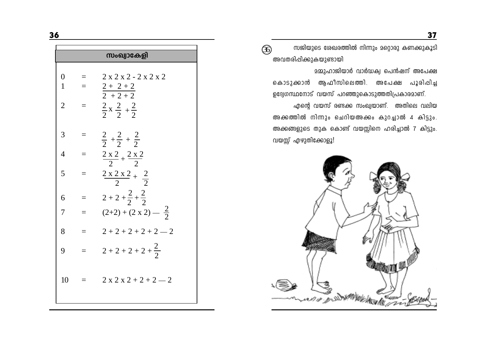|                                |     | സംഖ്വാകേളി                                       |
|--------------------------------|-----|--------------------------------------------------|
| $\overline{0}$<br>$\mathbf{1}$ |     | $2 x 2 x 2 - 2 x 2 x 2$<br>$\frac{2+2+2}{2+2+2}$ |
| $\overline{2}$                 | $=$ | $\frac{2}{2}x + \frac{2}{2} + \frac{2}{2}$       |
| 3                              |     | $rac{2}{2} + \frac{2}{2} + \frac{2}{2}$          |
| $\overline{4}$                 |     | $\frac{2 \times 2}{2} + \frac{2 \times 2}{2}$    |
| 5                              |     | $rac{2 x 2 x 2}{2} + \frac{2}{2}$                |
| 6                              |     | $2+2+\frac{2}{2}+\frac{2}{2}$                    |
| 7                              |     | $(2+2) + (2 \times 2) - \frac{2}{2}$             |
| 8                              |     | $2+2+2+2+2-2$                                    |
| 9                              | $=$ | $2+2+2+2+\frac{2}{2}$                            |
| 10                             |     | $2x2x2+2+2-2$                                    |
|                                |     |                                                  |

സജിയുടെ ശേഖരത്തിൽ നിന്നും മറ്റൊരു കണക്കുകൂടി  $\circledS$ അവതരിപ്പിക്കുകയുണ്ടായി

<u> മമ്മുഹാജിയാർ വാർദ്ധക്വ പെൻഷന് അപേക്ഷ</u> കൊടുക്കാൻ ആഫീസിലെത്തി. അപേക്ഷ പൂരിപ്പിച്ച ഉദ്യേഗസ്ഥനോട് വയസ് പറഞ്ഞുകൊടുത്തതിപ്രകാരമാണ്.

എന്റെ വയസ് രണ്ടക്ക സംഖ്യയാണ്. അതിലെ വലിയ അക്കത്തിൽ നിന്നും ചെറിയഅക്കം കുറച്ചാൽ 4 കിട്ടും. അക്കങ്ങളുടെ തുക കൊണ്ട് വയസ്സിനെ ഹരിച്ചാൽ 7 കിട്ടും. വയസ്സ് എഴുതിക്കോളൂ!

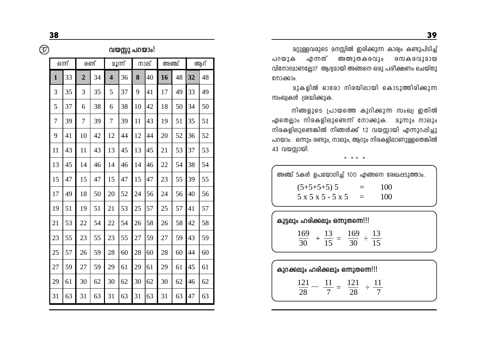$\circledS$ 

വയസ്സു പറയാം!

|              | ഒന്ന് |                | രണ്ട് |                         | മൂന്ന് |    | നാല് | അഞ്ച് |    |    | ആറ് |
|--------------|-------|----------------|-------|-------------------------|--------|----|------|-------|----|----|-----|
| $\mathbf{1}$ | 33    | $\overline{2}$ | 34    | $\overline{\mathbf{4}}$ | 36     | 8  | 40   | 16    | 48 | 32 | 48  |
| 3            | 35    | 3              | 35    | 5                       | 37     | 9  | 41   | 17    | 49 | 33 | 49  |
| 5            | 37    | 6              | 38    | 6                       | 38     | 10 | 42   | 18    | 50 | 34 | 50  |
| 7            | 39    | 7              | 39    | 7                       | 39     | 11 | 43   | 19    | 51 | 35 | 51  |
| 9            | 41    | 10             | 42    | 12                      | 44     | 12 | 44   | 20    | 52 | 36 | 52  |
| 11           | 43    | 11             | 43    | 13                      | 45     | 13 | 45   | 21    | 53 | 37 | 53  |
| 13           | 45    | 14             | 46    | 14                      | 46     | 14 | 46   | 22    | 54 | 38 | 54  |
| 15           | 47    | 15             | 47    | 15                      | 47     | 15 | 47   | 23    | 55 | 39 | 55  |
| 17           | 49    | 18             | 50    | 20                      | 52     | 24 | 56   | 24    | 56 | 40 | 56  |
| 19           | 51    | 19             | 51    | 21                      | 53     | 25 | 57   | 25    | 57 | 41 | 57  |
| 21           | 53    | 22             | 54    | 22                      | 54     | 26 | 58   | 26    | 58 | 42 | 58  |
| 23           | 55    | 23             | 55    | 23                      | 55     | 27 | 59   | 27    | 59 | 43 | 59  |
| 25           | 57    | 26             | 59    | 28                      | 60     | 28 | 60   | 28    | 60 | 44 | 60  |
| 27           | 59    | 27             | 59    | 29                      | 61     | 29 | 61   | 29    | 61 | 45 | 61  |
| 29           | 61    | 30             | 62    | 30                      | 62     | 30 | 62   | 30    | 62 | 46 | 62  |
| 31           | 63    | 31             | 63    | 31                      | 63     | 31 | 63   | 31    | 63 | 47 | 63  |

മറ്റുള്ളവരുടെ മനസ്സിൽ ഇരിക്കുന്ന കാര്വം കണ്ടുപിടിച്ച് അത്ഭുതകരവും പറയുക എന്നത് രസകരവുമായ വിനോദമാണല്ലോ? ആദ്യമായി അങ്ങനെ ഒരു പരീക്ഷണം ചെയ്തു നോക്കാം.

മുകളിൽ ഓരോ നിരയിലായി കൊടുത്തിരിക്കുന്ന സംഖ്വകൾ ശ്രദ്ധിക്കുക.

നിങ്ങളുടെ പ്രായത്തെ കുറിക്കുന്ന സംഖ്യ ഇതിൽ ഏതെല്ലാം നിരകളിലുണ്ടെന്ന് നോക്കുക. മൂന്നും നാലും നിരകളിലുണ്ടെങ്കിൽ നിങ്ങൾക്ക് 12 വയസ്സായി എന്നുറപ്പിച്ചു പറയാം. ഒന്നും രണ്ടും, നാലും, ആറും നിരകളിലാണുള്ളതെങ്കിൽ 43 വയസ്സായി.

\* \* \* \*

| അഞ്ച് 5കൾ ഉപയോഗിച്ച് 100 എങ്ങനെ രേഖപ്പടുത്താം. |                     |                               |     |     |
|------------------------------------------------|---------------------|-------------------------------|-----|-----|
| $(5+5+5+5)$ 5                                  | $5 x 5 x 5 - 5 x 5$ | $\equiv$<br>$\alpha = \alpha$ | 100 | 100 |

| കൂട്ടലും ഹരിക്കലും ഒന്നുതന്നെ!!! |     |  |  |
|----------------------------------|-----|--|--|
| 169                              | 169 |  |  |
|                                  |     |  |  |

| കുറക്കലും ഹരിക്കലും ഒന്നുതന്നെ!!! |  |  |
|-----------------------------------|--|--|
|                                   |  |  |
|                                   |  |  |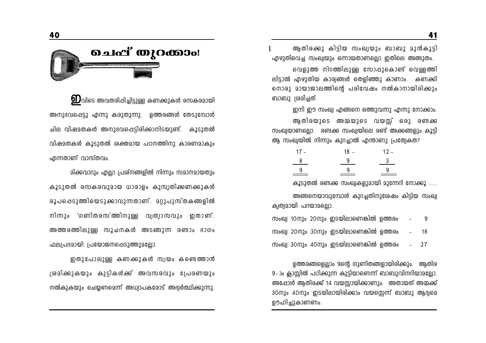

 $\bm{\mathrm{D}}$ വിടെ അവതരിപ്പിച്ചിട്ടുള്ള കണക്കുകൾ രസകരമായി അനുഭവപ്പെട്ടു എന്നു കരുതുന്നു. ഉത്തരങ്ങൾ തേടുമ്പോൾ ചില വിഷമതകൾ അനുഭവപ്പെട്ടിരിക്കാനിടയുണ്ട്. കൂടുതൽ വിഷമതകൾ കൂടുതൽ ശക്തമായ പഠനത്തിനു കാരണമാകും എന്നതാണ് വാസ്തവം.

മിക്കവാറും എല്ലാ പ്രശ്നങ്ങളിൽ നിന്നും സമാനമായതും കൂടുതൽ രസകരവുമായ ധാരാളം കുസ്വതിക്കണക്കുകൾ രൂപപ്പെടുത്തിയെടുക്കാവുന്നതാണ്. മറ്റുപുസ്തകങ്ങളിൽ നിന്നാം 'ഗണിതരസ'ത്തിനുള്ള വ്യത്യാസവും ഇതാണ്. അത്തരത്തിലുള്ള സൂചനകൾ അടങ്ങുന്ന രണ്ടാം ഭാഗം ഫലപ്രദമായി പ്രയോജനപ്പെടുത്തുമല്ലോ.

ഇതുപോലുള്ള കണക്കുകൾ സ്വയം കണ്ടെത്താൻ ശ്രമിക്കുകയും കുട്ടികൾക്ക് അവസരവും പ്രേരണയും നൽകുകയും ചെയ്യണമെന്ന് അധ്വാപകരോട് അഭ്വർത്ഥിക്കുന്നു.

ആതിരക്കു കിട്ടിയ സംഖ്യയും ബാബു മുൻകൂടി എഴുതിവെച്ച സംഖ്വയും ഒന്നായതാണല്ലൊ ഇതിലെ അത്ഭുതം.

വെളുത്ത നിറത്തിലുള്ള സോപ്പുകൊണ്ട് വെള്ളത്തി ലിട്ടാൽ എഴുതിയ കാര്വങ്ങൾ തെളിഞ്ഞു കാണാം. കണക്കി നൊരു മായാജാലത്തിന്റെ പരിവേഷം നൽകാനായിരിക്കും ബാബു ശ്രമിച്ചത്.

ഇനി ഈ സംഖ്വ എങ്ങനെ ഒത്തുവന്നു എന്നു നോക്കാം.

ആതിരയുടെ അമ്മയുടെ വയസ്സ് ഒരു രണ്ടക്ക സംഖ്വയാണല്ലൊ. രണ്ടക്ക സംഖ്വയിലെ രണ്ട് അക്കങ്ങളും കൂട്ടി ആ സംഖ്വയിൽ നിന്നും കുറച്ചാൽ എന്താണു പ്രത്വേകത?

| $18 -$ | $12 -$                  |
|--------|-------------------------|
| - 9    | $\overline{\mathbf{3}}$ |
| -9     | 9.                      |
|        |                         |

കൂടുതൽ രണ്ടക്ക സംഖ്യകളുമായി മുന്നേറി നോക്കൂ .....

അങ്ങനെയാവുമ്പോൾ കുറച്ചതിനുശേഷം കിട്ടിയ സംഖ്വ ക്വത്വമായി പറയാമല്ലൊ.

| സംഖ്വ 10നും 20നും ഇടയിലാണെങ്കിൽ ഉത്തരം | $\sim$             | Q    |
|----------------------------------------|--------------------|------|
| സംഖ്വ 20നും 30നും ഇടയിലാണെങ്കിൽ ഉത്തരം | $\sim$ $-$         | 18   |
| സംഖ്വ 30നും 40നും ഇടയിലാണെങ്കിൽ ഉത്തരം | $\Delta \sim 10^4$ | - 27 |

ഉത്തരങ്ങളെല്ലാം 9ന്റെ ഗുണിതങ്ങളായിരിക്കും. ആതിര 9-ാം ക്ലാസ്സിൽ പഠിക്കുന്ന കുട്ടിയാണെന്ന് ബാബുവിനറിയാമല്ലോ. അപ്പോൾ ആതിരക്ക് 14 വയസ്സായിക്കാണും. അതായത് അമ്മക്ക് 30നും 40നും ഇടയിലായിരിക്കാം വയസ്സെന്ന് ബാബു ആദ്യമെ ഊഹിച്ചുകാണണം.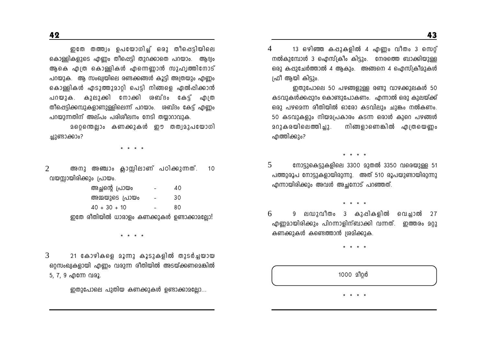ഇതേ തത്ത്വം ഉപയോഗിച്ച് ഒരു തീപ്പെട്ടിയിലെ കൊള്ളികളുടെ എണ്ണം തീപ്പെട്ടി തുറക്കാതെ പറയാം. ആദ്വം ആകെ എത്ര കൊള്ളികൾ എന്നെണ്ണാൻ സുഹൃത്തിനോട് പറയുക. ആ സംഖ്വയിലെ രണ്ടക്കങ്ങൾ കൂട്ടി അത്രയും എണ്ണം കൊള്ളികൾ എടുത്തുമാറ്റി പെട്ടി നിങ്ങളെ ഏൽപ്പിക്കാൻ പറയുക. കുലുക്കി നോക്കി രബ്ദം കേട്ട് എത്ര തീപ്പെട്ടിക്കമ്പുകളാണുള്ളിലെന്ന് പറയാം. ശബ്ദം കേട്ട് എണ്ണം പറയുന്നതിന് അല്പം പരിശീലനം നേടി തയ്യാറാവുക.

മറെന്തെലാം കണക്കുകൾ ഈ തത്വമുപയോഗി ച്ചുണ്ടാക്കാം?

\* \* \* \*

അനു അഞ്ചാം ക്ലാസ്സിലാണ് പഠിക്കുന്നത്.  $\mathcal{D}$ 10 വയസ്സായിരിക്കും പ്രായം.

| അച്ഛന്റെ പ്രായം                             | 40  |
|---------------------------------------------|-----|
| അമ്മയുടെ പ്രായം                             | 30  |
| $40 + 30 + 10$                              | 80. |
| ഇതേ രീതിയിൽ ധാരാളം കണക്കുകൾ ഉണ്ടാക്കാമല്ലോ! |     |

3 21 കോഴികളെ മൂന്നു കൂടുകളിൽ തുടർച്ചയായ ഒറ്റസംഖ്വകളായി എണ്ണം വരുന്ന രീതിയിൽ അടയ്ക്കണമെങ്കിൽ 5, 7, 9 എന്നേ വരൂ.

ഇതുപോലെ പുതിയ കണക്കുകൾ ഉണ്ടാക്കാമല്ലോ...

13 ഒഴിഞ്ഞ കപ്പുകളിൽ 4 എണ്ണം വീതം 3 സെറ്റ്  $\overline{4}$ നൽകുമ്പോൾ 3 ഐസ്ക്രീം കിട്ടും. നേരത്തെ ബാക്കിയുള്ള ഒരു കപ്പുചേർത്താൽ 4 ആകും. അങ്ങനെ 4 ഐസ്ക്രീമുകൾ ഫ്രീ ആയി കിട്ടും.

ഇതുപോലെ 50 പഴങ്ങളുള്ള രണ്ടു വാഴക്കുലകൾ 50 കടവുകൾക്കപ്പുറം കൊണ്ടുപോകണം. എന്നാൽ ഒരു കുലയ്ക്ക് ഒരു പഴമെന്ന രീതിയിൽ ഓരോ കടവിലും ചുങ്കം നൽകണം. 50 കടവുകളും നിയമപ്രകാരം കടന്ന ഒരാൾ കുറെ പഴങ്ങൾ 202കരയിലെത്തിച്ചു. നിങ്ങളാണെങ്കിൽ എത്രയെണ്ണം എത്തിക്കും?

\* \* \* \*

5 നോട്ടുകെട്ടുകളിലെ 3300 മുതൽ 3350 വരെയുള്ള 51 പത്തുരൂപ നോട്ടുകളായിരുന്നു. അത് 510 രൂപയുണ്ടായിരുന്നു എന്നായിരിക്കും അവൾ അച്ഛനോട് പറഞ്ഞത്.

 $\begin{array}{cccccccccccccc} \bullet & \bullet & \bullet & \bullet & \bullet & \bullet \end{array}$ 

9 ലഡുവീതം 3 കുപ്പികളിൽ വെച്ചാൽ 27 6 എണ്ണമായിരിക്കും പിറന്നാളിന്ബാക്കി വന്നത്. ഇത്തരം മറ്റു കണക്കുകൾ കണ്ടെത്താൻ ശ്രമിക്കുക.

 $* * * *$ 

1000 210 <sub>0</sub>

\* \* \* \*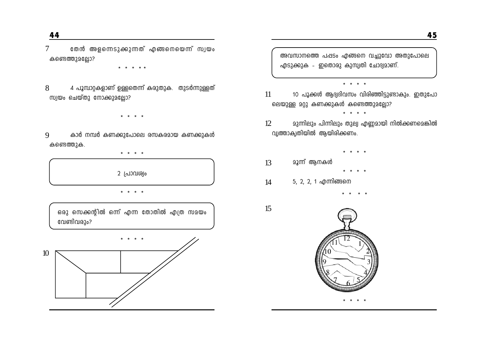തേൻ അളന്നെടുക്കുന്നത് എങ്ങനെയെന്ന് സ്വയം  $\overline{7}$ കണ്ടെത്തുമല്ലോ?

\* \* \* \* \*

4 പൂമ്പാറ്റകളാണ് ഉള്ളതെന്ന് കരുതുക. തുടർന്നുള്ളത് 8 സ്വയം ചെയ്തു നോക്കുമല്ലോ?

 $\begin{array}{cccccccccccccc} \bullet & \bullet & \bullet & \bullet & \bullet & \bullet \end{array}$ 

കാർ നമ്പർ കണക്കുപോലെ രസകരമായ കണക്കുകൾ  $\mathbf Q$ കണ്ടെത്തുക.

\* \* \* \*

2 പ്രാവശ്വം

\* \* \* \*

ഒരു സെക്കന്റിൽ ഒന്ന് എന്ന തോതിൽ എത്ര സമയം വേണ്ടിവരും?



അവസാനത്തെ പപ്പടം എങ്ങനെ വച്ചുവോ അതുപോലെ എടുക്കുക - ഇതൊരു കുസ്വതി ചോദ്യമാണ്.

\* \* \* \*

\* \* \* \*

- 11 10 പൂക്കൾ ആദ്വദിവസം വിരിഞ്ഞിട്ടുണ്ടാകും. ഇതുപോ ലെയുള്ള മറ്റു കണക്കുകൾ കണ്ടെത്തുമല്ലോ?
- മുന്നിലും പിന്നിലും തുല്വ എണ്ണമായി നിൽക്കണമെങ്കിൽ  $12<sup>°</sup>$ വ്വത്താക്വതിയിൽ ആയിരിക്കണം.
- نه به ا മൂന്ന് ആനകൾ 13
- 5, 2, 2, 1 എന്നിങ്ങനെ  $14$

15

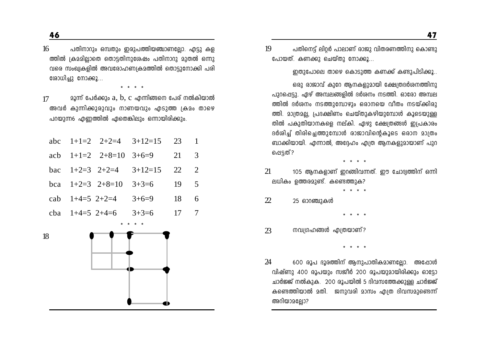$16$ പതിനാറും ഒമ്പതും ഇരുപത്തിയഞ്ചാണല്ലോ. എട്ടു കള ത്തിൽ ക്രമമിലാതെ തൊട്ടതിനുശേഷം പതിനാറു മുതൽ ഒന്നു വരെ സംഖ്വകളിൽ അവരോഹണ്യകമത്തിൽ തൊട്ടുനോക്കി പരി രോധിച്ചു നോക്കൂ…

 $* * * * *$ 

 $22$ ന്ന് പേർക്കും  $a, b, c$  എന്നിങ്ങനെ പേര് നൽകിയാൽ 17 അവർ കുന്നിക്കുരുവും നാണയവും എടുത്ത ക്രമം താഴെ പറയുന്ന6 എണ്ണത്തിൽ ഏതെങ്കിലും ഒന്നായിരിക്കും.

|                     |                               | abc $1+1=2$ $2+2=4$ $3+12=15$ $23$ 1 |              |   |
|---------------------|-------------------------------|--------------------------------------|--------------|---|
|                     | acb $1+1=2$ $2+8=10$ $3+6=9$  |                                      | 21 3         |   |
|                     | bac $1+2=3$ $2+2=4$ $3+12=15$ |                                      | 22 2         |   |
|                     | bca $1+2=3$ $2+8=10$ $3+3=6$  |                                      | $19 \quad 5$ |   |
| cab $1+4=5$ $2+2=4$ |                               | $3+6=9$                              | 18           | 6 |
|                     | cba $1+4=5$ $2+4=6$ $3+3=6$   |                                      | 17 7         |   |
|                     |                               |                                      |              |   |

18



പതിനെട്ട് ലിറർ പാലാണ് രാജു വിതരണത്തിനു കൊണ്ടു 19 പോയത്. കണക്കു ചെയ്തു നോക്കൂ...

ഇതുപോലെ താഴെ കൊടുത്ത കണക്ക് കണ്ടുപിടിക്കൂ..

ഒരു രാജാവ് കുറേ ആനകളുമായി ക്ഷേത്രദർശനത്തിനു പുറപ്പെട്ടു. ഏഴ് അമ്പലങ്ങളിൽ ദർശനം നടത്തി. ഓരോ അമ്പല ത്തിൽ ദർശനം നടത്തുമ്പോഴും ഒരാനയെ വീതം നടയ്ക്കിരു ത്തി. മാത്രമല്ല, പ്രദക്ഷിണം ചെയ്തുകഴിയുമ്പോൾ കൂടെയുള്ള തിൽ പകുതിയാനകളെ നല്കി. ഏഴു ക്ഷേത്രങ്ങൾ ഇപ്രകാരം ദർശിച്ച് തിരിച്ചെത്തുമ്പോൾ രാജാവിന്റെകൂടെ ഒരാന മാത്രം ബാക്കിയായി. എന്നാൽ, അദ്ദേഹം എത്ര ആനകളുമായാണ് പുറ പ്പെട്ടത്?

21 105 ആനകളാണ് ഇറങ്ങിവന്നത്. ഈ ചോദ്വത്തിന് ഒന്നി ലധികം ഉത്തരമുണ്ട്. കണ്ടെത്തുക?

 $* * * *$ 

 $\mathfrak{D}$ 25 ഓറഞ്ചുകൾ

 $23$ നവശ്രഹങ്ങൾ എത്രയാണ്?

 $* * * * *$ 

24 600 രൂപ ദൂരത്തിന് ആനുപാതികമാണല്ലോ. അപ്പോൾ വിഷ്ണു 400 രൂപയും സജീർ 200 രൂപയുമായിരിക്കും ഓട്ടോ ചാർജ്ജ് നൽകുക. 200 രൂപയിൽ 5 ദിവസത്തേക്കുള്ള ചാർജ്ജ് കണ്ടെത്തിയാൽ മതി. ജനുവരി മാസം എത്ര ദിവസമുണ്ടെന്ന് അറിയാമല്ലോ?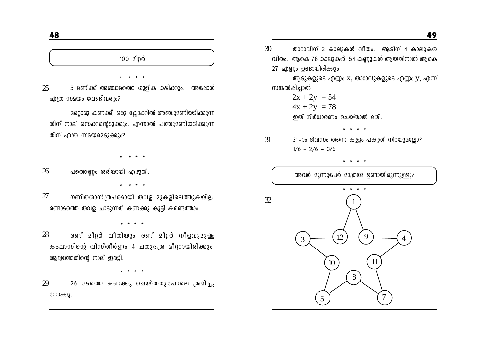# 100 മീറർ

 $25$ 5 മണിക്ക് അഞ്ചാമത്തെ ഗുളിക കഴിക്കും. അപ്പോൾ എത്ര സമയം വേണ്ടിവരും?

200003 കണക്ക്; ഒരു കോക്കിൽ അഞ്ചുമണിയടിക്കുന്ന തിന് നാല് സെക്കന്റെടുക്കും. എന്നാൽ പത്തുമണിയടിക്കുന്ന തിന് എത്ര സമയമെടുക്കും?

 $\frac{1}{2} \left( \frac{1}{2} \right)$ 

26 പത്തെണ്ണം ശരിയായി എഴുതി.

\* \* \* \*

 $27$ ഗണിതരാസ്ത്രപരമായി തവള മുകളിലെത്തുകയില്ല. രണ്ടാമത്തെ തവള ചാടുന്നത് കണക്കു കൂടി കണ്ടെത്താം.

 $* * * *$ 

28 രണ് മീറ്റർ വീതിയും രണ് മീറ്റർ നീളവുമുള്ള കടലാസിന്റെ വിസ്തീർണ്ണം 4 ചതുരശ്ര മീറ്ററായിരിക്കും. ആദ്യത്തേതിന്റെ നാല് ഇരട്ടി.

 $* * * *$ 

 $29$ 26-ാമത്തെ കണക്കു ചെയ്തതുപോലെ ശ്രമിച്ചു നോക്കൂ.

 $30$ താറാവിന് 2 കാലുകൾ വീതം. ആടിന് 4 കാലുകൾ വീതം. ആകെ 78 കാലുകൾ. 54 കണ്ണുകൾ ആയതിനാൽ ആകെ 27 എണ്ണം ഉണ്ടായിരിക്കും.

ആടുകളുടെ എണ്ണം  $x$ , താറാവുകളുടെ എണ്ണം  $y$ , എന്ന് സങ്കൽപിച്ചാൽ

 $* * * *$ 

 $2x + 2y = 54$  $4x + 2y = 78$ ഇത് നിർധാരണം ചെയ്താൽ മതി.

31

31-ാം ദിവസം തന്നെ കുളം പകുതി നിറയുമല്ലോ?  $1/6 + 2/6 = 3/6$ 

\* \* \* \* അവർ മൂന്നുപേർ മാത്രമേ ഉണ്ടായിരുന്നുള്ളൂ?  $32$  $\mathbf Q$ 3  $10<sup>10</sup>$  $8<sup>2</sup>$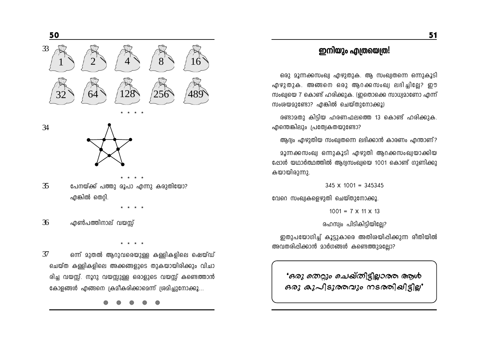# ഇനിയും എത്രയെത്ര!

ഒരു മൂന്നക്കസംഖ്വ എഴുതുക. ആ സംഖ്വതന്നെ ഒന്നുകൂടി എഴുതുക. അങ്ങനെ ഒരു ആറക്കസംഖ്വ ലഭിച്ചില്ലേ? ഈ സംഖ്വയെ 7 കൊണ്ട് ഹരിക്കുക. (ഇതൊക്കെ സാധ്യമാണോ എന്ന് സംശയമുണ്ടോ? എങ്കിൽ ചെയ്തുനോക്കൂ)

രണ്ടാമതു കിട്ടിയ ഹരണഫലത്തെ 13 കൊണ്ട് ഹരിക്കുക. എന്തെങ്കിലും പ്രത്വേകതയുണ്ടോ?

ആദ്യം എഴുതിയ സംഖ്യതന്നെ ലഭിക്കാൻ കാരണം എന്താണ്?

മൂന്നക്കസംഖ്വ ഒന്നുകൂടി എഴുതി ആറക്കസംഖ്വയാക്കിയ ഷോൾ യഥാർത്ഥത്തിൽ ആദ്യസംഖ്വയെ 1001 കൊണ്ട് ഗുണിക്കു കയായിരുന്നു.

 $345 \times 1001 = 345345$ 

വേറെ സംഖ്വകളെഴുതി ചെയ്തുനോക്കൂ

 $1001 = 7 \times 11 \times 13$ 

രഹസ്വം പിടികിട്ടിയില്ലേ?

ഇതുപയോഗിച്ച് കൂട്ടുകാരെ അതിരയിപ്പിക്കുന്ന രീതിയിൽ അവതരിപ്പിക്കാൻ മാർഗങ്ങൾ കണ്ടെത്തുമല്ലോ?

*'ഒരു തെറ്റും ചെഖ്തിട്ടില്ലാര*ത ആൾ ഒരു കുപിടുരുവും നടരുതിചിട്ടില്ല'

33  $28$ 256

 $\overline{34}$ 

50



35 പേനയ്ക്ക് പത്തു രൂപാ എന്നു കരുതിയോ? എങ്കിൽ തെറ്റി.

36 എൺപത്തിനാല് വയസ്സ്

 $\overline{37}$ ഒന്ന് മുതൽ ആറുവരെയുള്ള കള്ളികളിലെ ഷെയ്ഡ് ചെയ്ത കള്ളികളിലെ അക്കങ്ങളുടെ തുകയായിരിക്കും വിചാ രിച്ച വയസ്സ്. നൂറു വയസ്സുള്ള ഒരാളുടെ വയസ്സ് കണ്ടെത്താൻ കോളങ്ങൾ എങ്ങനെ ക്രമീകരിക്കാമെന്ന് ശ്രമിച്ചുനോക്കൂ...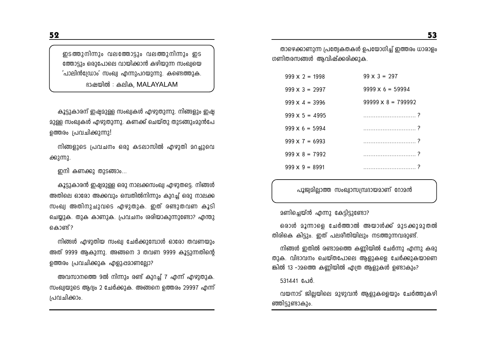ഇടത്തുനിന്നും വലത്തോട്ടും വലത്തുനിന്നും ഇട ത്തോട്ടും ഒരുപോലെ വായിക്കാൻ കഴിയുന്ന സംഖ്വയെ 'പാലിൻഡ്രോം' സംഖ്വ എന്നുപറയുന്നു. കണ്ടെത്തുക. ഭാഷയിൽ : കലിക, MALAYALAM

കൂട്ടുകാരന് ഇഷ്ടമുള്ള സംഖ്വകൾ എഴുതുന്നു. നിങ്ങളും ഇഷ്ട മുള്ള സംഖ്വകൾ എഴുതുന്നു. കണക്ക് ചെയ്തു തുടങ്ങുംമുൻപേ ഉത്തരം പ്രവചിക്കുന്നു!

നിങ്ങളുടെ പ്രവചനം ഒരു കടലാസിൽ എഴുതി മറച്ചുവെ ക്കുന്നു.

ഇനി കണക്കു തുടങ്ങാം...

കൂട്ടുകാരൻ ഇഷ്ടമുള്ള ഒരു നാലക്കസംഖ്വ എഴുതട്ടെ. നിങ്ങൾ അതിലെ ഓരോ അക്കവും ഒമ്പതിൽനിന്നും കുറച്ച് ഒരു നാലക്ക സംഖ്വ അതിനുചുവടെ എഴുതുക. ഇത് രണ്ടുതവണ കൂടി ചെയ്യുക. തുക കാണുക. പ്രവചനം ശരിയാകുന്നുണ്ടോ? എന്തു കൊണ്ട് ?

നിങ്ങൾ എഴുതിയ സംഖ്വ ചേർക്കുമ്പോൾ ഓരോ തവണയും അത് 9999 ആകുന്നു. അങ്ങനെ 3 തവണ 9999 കൂട്ടുന്നതിന്റെ ഉത്തരം പ്രവചിക്കുക എളുപ്പമാണല്ലോ?

അവസാനത്തെ 9ൽ നിന്നും രണ്ട് കുറച്ച് 7 എന്ന് എഴുതുക. സംഖ്വയുടെ ആദ്വം 2 ചേർക്കുക. അങ്ങനെ ഉത്തരം 29997 എന്ന് പ്രവചിക്കാം.

താഴെക്കാണുന്ന പ്രത്വേകതകൾ ഉപയോഗിച്ച് ഇത്തരം ധാരാളം ഗണിതരസങ്ങൾ ആവിഷ്ക്കരിക്കുക.

| $999 \times 2 = 1998$ | $99 \times 3 = 297$       |
|-----------------------|---------------------------|
| $999 \times 3 = 2997$ | $9999 \times 6 = 59994$   |
| $999 \times 4 = 3996$ | $99999 \times 8 = 799992$ |
| $999 \times 5 = 4995$ |                           |
| $999 \times 6 = 5994$ |                           |
| $999 \times 7 = 6993$ |                           |
| $999 \times 8 = 7992$ |                           |
| $999 \times 9 = 8991$ |                           |

പൂജ്വമില്ലാത്ത സംഖ്വാസമ്പ്രദായമാണ് റോമൻ

മണിച്ചെയ്ൻ എന്നു കേട്ടിട്ടുണ്ടോ?

ഒരാൾ മൂന്നാളെ ചേർത്താൽ അയാൾക്ക് മുടക്കുമുതൽ തിരികെ കിട്ടും. ഇത് പലരീതിയിലും നടത്തുന്നവരുണ്ട്.

നിങ്ങൾ ഇതിൽ രണ്ടാമത്തെ കണ്ണിയിൽ ചേർന്നു എന്നു കരു തുക. വിദാവനം ചെയ്തപോലെ ആളുകളെ ചേർക്കുകയാണെ ങ്കിൽ 13 -ാമത്തെ കണ്ണിയിൽ എത്ര ആളുകൾ ഉണ്ടാകും?

531441 പേർ.

വയനാട് ജില്ലയിലെ മുഴുവൻ ആളുകളെയും ചേർത്തുകഴി ഞ്ഞിട്ടുണ്ടാകും.